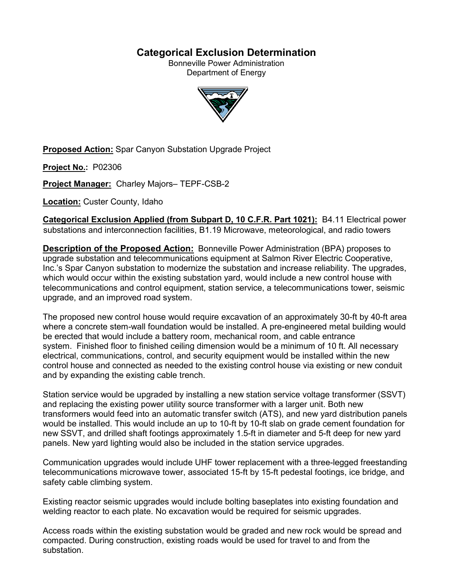# **Categorical Exclusion Determination**

Bonneville Power Administration Department of Energy



**Proposed Action:** Spar Canyon Substation Upgrade Project

**Project No.:** P02306

**Project Manager:** Charley Majors– TEPF-CSB-2

**Location:** Custer County, Idaho

**Categorical Exclusion Applied (from Subpart D, 10 C.F.R. Part 1021):** B4.11 Electrical power substations and interconnection facilities, B1.19 Microwave, meteorological, and radio towers

**Description of the Proposed Action:** Bonneville Power Administration (BPA) proposes to upgrade substation and telecommunications equipment at Salmon River Electric Cooperative, Inc.'s Spar Canyon substation to modernize the substation and increase reliability. The upgrades, which would occur within the existing substation yard, would include a new control house with telecommunications and control equipment, station service, a telecommunications tower, seismic upgrade, and an improved road system.

The proposed new control house would require excavation of an approximately 30-ft by 40-ft area where a concrete stem-wall foundation would be installed. A pre-engineered metal building would be erected that would include a battery room, mechanical room, and cable entrance system. Finished floor to finished ceiling dimension would be a minimum of 10 ft. All necessary electrical, communications, control, and security equipment would be installed within the new control house and connected as needed to the existing control house via existing or new conduit and by expanding the existing cable trench.

Station service would be upgraded by installing a new station service voltage transformer (SSVT) and replacing the existing power utility source transformer with a larger unit. Both new transformers would feed into an automatic transfer switch (ATS), and new yard distribution panels would be installed. This would include an up to 10-ft by 10-ft slab on grade cement foundation for new SSVT, and drilled shaft footings approximately 1.5-ft in diameter and 5-ft deep for new yard panels. New yard lighting would also be included in the station service upgrades.

Communication upgrades would include UHF tower replacement with a three-legged freestanding telecommunications microwave tower, associated 15-ft by 15-ft pedestal footings, ice bridge, and safety cable climbing system.

Existing reactor seismic upgrades would include bolting baseplates into existing foundation and welding reactor to each plate. No excavation would be required for seismic upgrades.

Access roads within the existing substation would be graded and new rock would be spread and compacted. During construction, existing roads would be used for travel to and from the substation.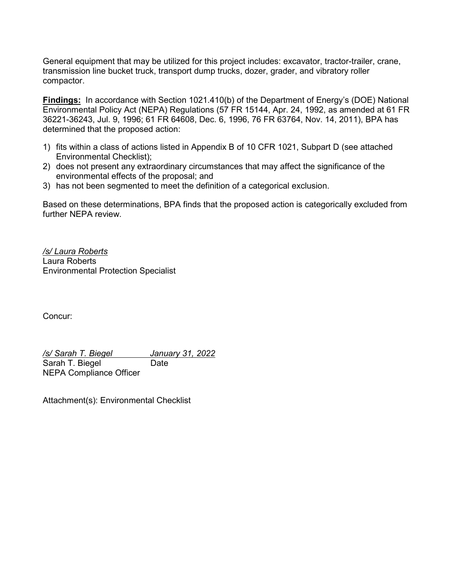General equipment that may be utilized for this project includes: excavator, tractor-trailer, crane, transmission line bucket truck, transport dump trucks, dozer, grader, and vibratory roller compactor.

**Findings:** In accordance with Section 1021.410(b) of the Department of Energy's (DOE) National Environmental Policy Act (NEPA) Regulations (57 FR 15144, Apr. 24, 1992, as amended at 61 FR 36221-36243, Jul. 9, 1996; 61 FR 64608, Dec. 6, 1996, 76 FR 63764, Nov. 14, 2011), BPA has determined that the proposed action:

- 1) fits within a class of actions listed in Appendix B of 10 CFR 1021, Subpart D (see attached Environmental Checklist);
- 2) does not present any extraordinary circumstances that may affect the significance of the environmental effects of the proposal; and
- 3) has not been segmented to meet the definition of a categorical exclusion.

Based on these determinations, BPA finds that the proposed action is categorically excluded from further NEPA review.

*/s/ Laura Roberts* Laura Roberts Environmental Protection Specialist

Concur:

*/s/ Sarah T. Biegel January 31, 2022* Sarah T. Biegel **Date** NEPA Compliance Officer

Attachment(s): Environmental Checklist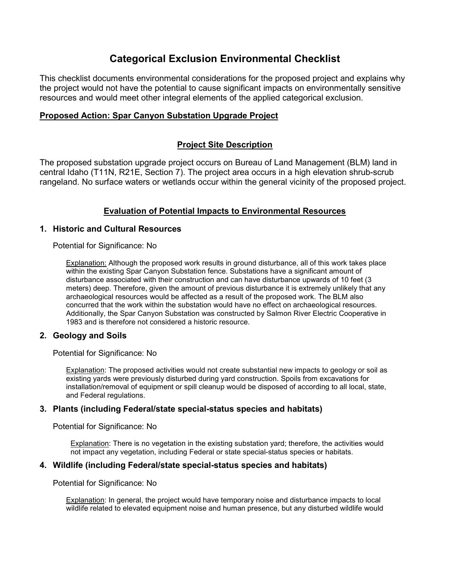# **Categorical Exclusion Environmental Checklist**

This checklist documents environmental considerations for the proposed project and explains why the project would not have the potential to cause significant impacts on environmentally sensitive resources and would meet other integral elements of the applied categorical exclusion.

# **Proposed Action: Spar Canyon Substation Upgrade Project**

# **Project Site Description**

The proposed substation upgrade project occurs on Bureau of Land Management (BLM) land in central Idaho (T11N, R21E, Section 7). The project area occurs in a high elevation shrub-scrub rangeland. No surface waters or wetlands occur within the general vicinity of the proposed project.

# **Evaluation of Potential Impacts to Environmental Resources**

# **1. Historic and Cultural Resources**

Potential for Significance: No

**Explanation:** Although the proposed work results in ground disturbance, all of this work takes place within the existing Spar Canyon Substation fence. Substations have a significant amount of disturbance associated with their construction and can have disturbance upwards of 10 feet (3 meters) deep. Therefore, given the amount of previous disturbance it is extremely unlikely that any archaeological resources would be affected as a result of the proposed work. The BLM also concurred that the work within the substation would have no effect on archaeological resources. Additionally, the Spar Canyon Substation was constructed by Salmon River Electric Cooperative in 1983 and is therefore not considered a historic resource.

## **2. Geology and Soils**

Potential for Significance: No

Explanation: The proposed activities would not create substantial new impacts to geology or soil as existing yards were previously disturbed during yard construction. Spoils from excavations for installation/removal of equipment or spill cleanup would be disposed of according to all local, state, and Federal regulations.

## **3. Plants (including Federal/state special-status species and habitats)**

Potential for Significance: No

Explanation: There is no vegetation in the existing substation yard; therefore, the activities would not impact any vegetation, including Federal or state special-status species or habitats.

## **4. Wildlife (including Federal/state special-status species and habitats)**

Potential for Significance: No

Explanation: In general, the project would have temporary noise and disturbance impacts to local wildlife related to elevated equipment noise and human presence, but any disturbed wildlife would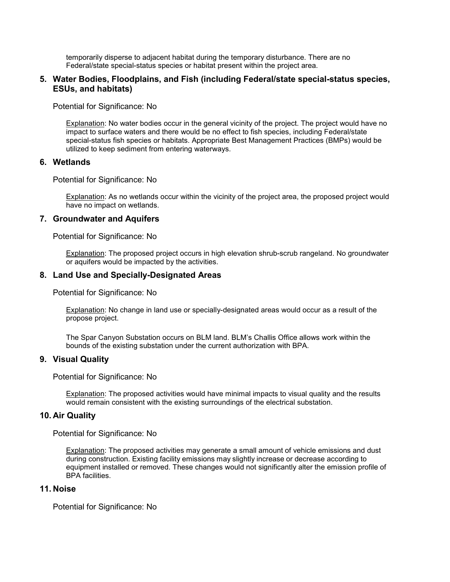temporarily disperse to adjacent habitat during the temporary disturbance. There are no Federal/state special-status species or habitat present within the project area.

### **5. Water Bodies, Floodplains, and Fish (including Federal/state special-status species, ESUs, and habitats)**

Potential for Significance: No

Explanation: No water bodies occur in the general vicinity of the project. The project would have no impact to surface waters and there would be no effect to fish species, including Federal/state special-status fish species or habitats. Appropriate Best Management Practices (BMPs) would be utilized to keep sediment from entering waterways.

### **6. Wetlands**

Potential for Significance: No

Explanation: As no wetlands occur within the vicinity of the project area, the proposed project would have no impact on wetlands.

#### **7. Groundwater and Aquifers**

Potential for Significance: No

Explanation: The proposed project occurs in high elevation shrub-scrub rangeland. No groundwater or aquifers would be impacted by the activities.

#### **8. Land Use and Specially-Designated Areas**

Potential for Significance: No

Explanation: No change in land use or specially-designated areas would occur as a result of the propose project.

The Spar Canyon Substation occurs on BLM land. BLM's Challis Office allows work within the bounds of the existing substation under the current authorization with BPA.

#### **9. Visual Quality**

Potential for Significance: No

Explanation: The proposed activities would have minimal impacts to visual quality and the results would remain consistent with the existing surroundings of the electrical substation.

#### **10. Air Quality**

Potential for Significance: No

Explanation: The proposed activities may generate a small amount of vehicle emissions and dust during construction. Existing facility emissions may slightly increase or decrease according to equipment installed or removed. These changes would not significantly alter the emission profile of BPA facilities.

#### **11. Noise**

Potential for Significance: No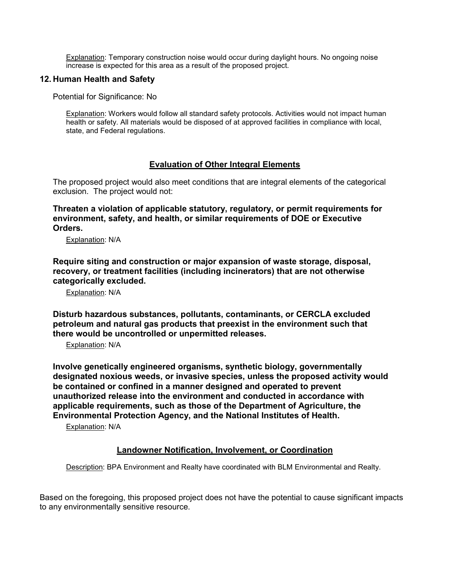Explanation: Temporary construction noise would occur during daylight hours. No ongoing noise increase is expected for this area as a result of the proposed project.

# **12. Human Health and Safety**

Potential for Significance: No

Explanation: Workers would follow all standard safety protocols. Activities would not impact human health or safety. All materials would be disposed of at approved facilities in compliance with local, state, and Federal regulations.

# **Evaluation of Other Integral Elements**

The proposed project would also meet conditions that are integral elements of the categorical exclusion. The project would not:

**Threaten a violation of applicable statutory, regulatory, or permit requirements for environment, safety, and health, or similar requirements of DOE or Executive Orders.**

Explanation: N/A

**Require siting and construction or major expansion of waste storage, disposal, recovery, or treatment facilities (including incinerators) that are not otherwise categorically excluded.**

Explanation: N/A

**Disturb hazardous substances, pollutants, contaminants, or CERCLA excluded petroleum and natural gas products that preexist in the environment such that there would be uncontrolled or unpermitted releases.**

Explanation: N/A

**Involve genetically engineered organisms, synthetic biology, governmentally designated noxious weeds, or invasive species, unless the proposed activity would be contained or confined in a manner designed and operated to prevent unauthorized release into the environment and conducted in accordance with applicable requirements, such as those of the Department of Agriculture, the Environmental Protection Agency, and the National Institutes of Health.**

Explanation: N/A

## **Landowner Notification, Involvement, or Coordination**

Description: BPA Environment and Realty have coordinated with BLM Environmental and Realty.

Based on the foregoing, this proposed project does not have the potential to cause significant impacts to any environmentally sensitive resource.